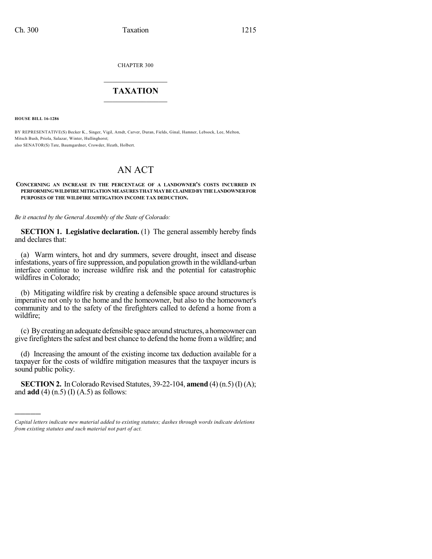CHAPTER 300

## $\overline{\phantom{a}}$  . The set of the set of the set of the set of the set of the set of the set of the set of the set of the set of the set of the set of the set of the set of the set of the set of the set of the set of the set o **TAXATION**  $\_$

**HOUSE BILL 16-1286**

)))))

BY REPRESENTATIVE(S) Becker K., Singer, Vigil, Arndt, Carver, Duran, Fields, Ginal, Hamner, Lebsock, Lee, Melton, Mitsch Bush, Priola, Salazar, Winter, Hullinghorst; also SENATOR(S) Tate, Baumgardner, Crowder, Heath, Holbert.

## AN ACT

## **CONCERNING AN INCREASE IN THE PERCENTAGE OF A LANDOWNER'S COSTS INCURRED IN PERFORMINGWILDFIREMITIGATIONMEASURES THATMAYBECLAIMEDBYTHELANDOWNERFOR PURPOSES OF THE WILDFIRE MITIGATION INCOME TAX DEDUCTION.**

*Be it enacted by the General Assembly of the State of Colorado:*

**SECTION 1. Legislative declaration.** (1) The general assembly hereby finds and declares that:

(a) Warm winters, hot and dry summers, severe drought, insect and disease infestations, years of fire suppression, and population growth in the wildland-urban interface continue to increase wildfire risk and the potential for catastrophic wildfires in Colorado;

(b) Mitigating wildfire risk by creating a defensible space around structures is imperative not only to the home and the homeowner, but also to the homeowner's community and to the safety of the firefighters called to defend a home from a wildfire;

(c) Bycreating an adequate defensible space around structures, a homeowner can give firefighters the safest and best chance to defend the home from a wildfire; and

(d) Increasing the amount of the existing income tax deduction available for a taxpayer for the costs of wildfire mitigation measures that the taxpayer incurs is sound public policy.

**SECTION 2.** In Colorado Revised Statutes, 39-22-104, **amend** (4) (n.5) (I) (A); and **add** (4) (n.5) (I) (A.5) as follows:

*Capital letters indicate new material added to existing statutes; dashes through words indicate deletions from existing statutes and such material not part of act.*